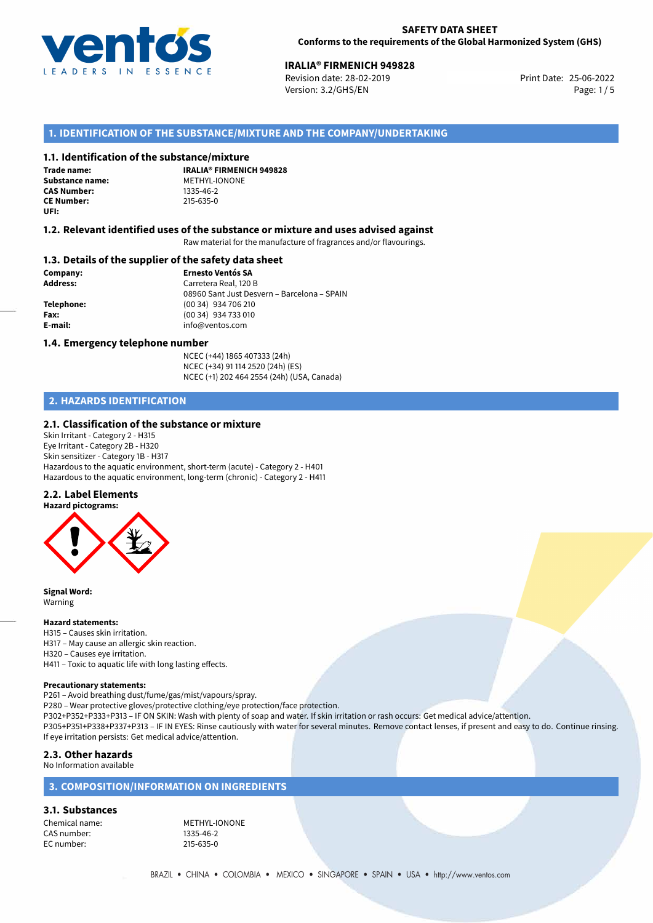

## **IRALIA® FIRMENICH 949828**<br> **25-06-2022 Revision date: 28-02-2019**<br> **25-06-2022**

Revision date: 28-02-2019 Version: 3.2/GHS/EN Page: 1/5

## **1. IDENTIFICATION OF THE SUBSTANCE/MIXTURE AND THE COMPANY/UNDERTAKING**

#### **1.1. Identification of the substance/mixture**

**Trade name: CAS Number: CE Number:** 215-635-0 **UFI:**

**IRALIA® FIRMENICH 949828 Substance name:** METHYL-IONONE<br> **CAS Number:** 1335-46-2

#### **1.2. Relevant identified uses of the substance or mixture and uses advised against**

Raw material for the manufacture of fragrances and/or flavourings.

#### **1.3. Details of the supplier of the safety data sheet**

**Company: Ernesto Ventós SA Address:** Carretera Real, 120 B 08960 Sant Just Desvern – Barcelona – SPAIN **Telephone:** (00 34) 934 706 210 **Fax:** (00 34) 934 733 010 **E-mail:** info@ventos.com

#### **1.4. Emergency telephone number**

NCEC (+44) 1865 407333 (24h) NCEC (+34) 91 114 2520 (24h) (ES) NCEC (+1) 202 464 2554 (24h) (USA, Canada)

## **2. HAZARDS IDENTIFICATION**

#### **2.1. Classification of the substance or mixture**

Skin Irritant - Category 2 - H315 Eye Irritant - Category 2B - H320 Skin sensitizer - Category 1B - H317 Hazardous to the aquatic environment, short-term (acute) - Category 2 - H401 Hazardous to the aquatic environment, long-term (chronic) - Category 2 - H411

#### **2.2. Label Elements**



**Signal Word:** Warning

#### **Hazard statements:**

H315 – Causes skin irritation. H317 – May cause an allergic skin reaction. H320 – Causes eye irritation. H411 – Toxic to aquatic life with long lasting effects.

#### **Precautionary statements:**

P261 – Avoid breathing dust/fume/gas/mist/vapours/spray.

P280 – Wear protective gloves/protective clothing/eye protection/face protection.

P302+P352+P333+P313 – IF ON SKIN: Wash with plenty of soap and water. If skin irritation or rash occurs: Get medical advice/attention.

P305+P351+P338+P337+P313 – IF IN EYES: Rinse cautiously with water for several minutes. Remove contact lenses, if present and easy to do. Continue rinsing. If eye irritation persists: Get medical advice/attention.

## **2.3. Other hazards**

No Information available

## **3. COMPOSITION/INFORMATION ON INGREDIENTS**

**3.1. Substances**

CAS number: 1335-46-2<br>EC number: 215-635-0 EC number:

Chemical name: METHYL-IONONE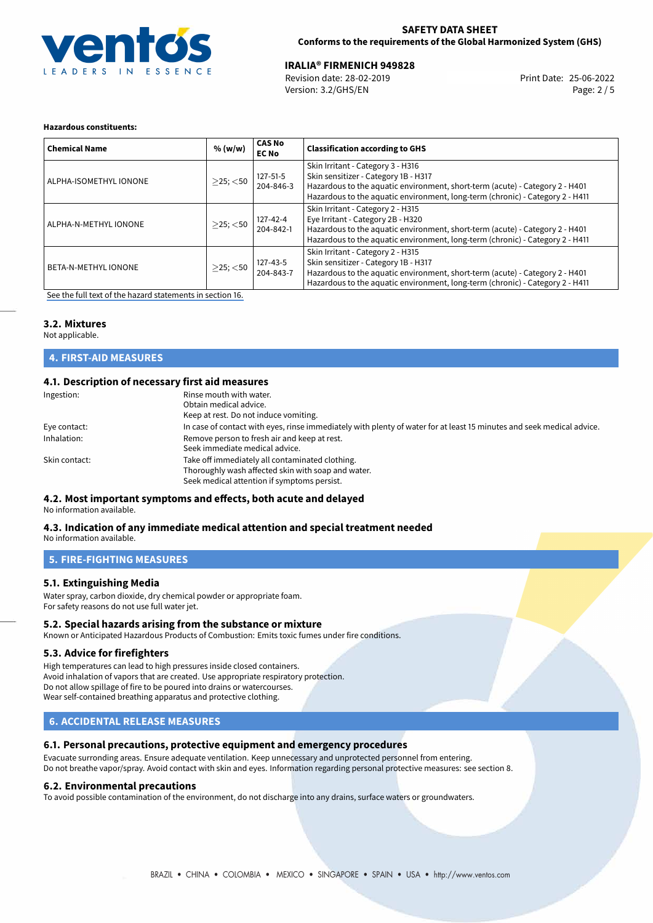

#### **SAFETY DATA SHEET Conforms to the requirements of the Global Harmonized System (GHS)**

# **IRALIA® FIRMENICH 949828**<br>Revision date: 28-02-2019 **Print Date: 25-06-2022**

Version: 3.2/GHS/EN Page: 2 / 5

#### **Hazardous constituents:**

| <b>Chemical Name</b>        | % (w/w)        | <b>CAS No</b><br><b>EC No</b> | <b>Classification according to GHS</b>                                                                                                                                                                                                     |
|-----------------------------|----------------|-------------------------------|--------------------------------------------------------------------------------------------------------------------------------------------------------------------------------------------------------------------------------------------|
| ALPHA-ISOMETHYL IONONE      | $>$ 25; $<$ 50 | $127 - 51 - 5$<br>204-846-3   | Skin Irritant - Category 3 - H316<br>Skin sensitizer - Category 1B - H317<br>Hazardous to the aquatic environment, short-term (acute) - Category 2 - H401<br>Hazardous to the aquatic environment, long-term (chronic) - Category 2 - H411 |
| ALPHA-N-METHYL IONONE       | $>$ 25; $<$ 50 | 127-42-4<br>204-842-1         | Skin Irritant - Category 2 - H315<br>Eye Irritant - Category 2B - H320<br>Hazardous to the aquatic environment, short-term (acute) - Category 2 - H401<br>Hazardous to the aquatic environment, long-term (chronic) - Category 2 - H411    |
| <b>BETA-N-METHYL IONONE</b> | $>$ 25; $<$ 50 | 127-43-5<br>204-843-7         | Skin Irritant - Category 2 - H315<br>Skin sensitizer - Category 1B - H317<br>Hazardous to the aquatic environment, short-term (acute) - Category 2 - H401<br>Hazardous to the aquatic environment, long-term (chronic) - Category 2 - H411 |

[See the full text of the hazard statements in section 16.](#page-4-0)

### **3.2. Mixtures**

Not applicable.

## **4. FIRST-AID MEASURES**

## **4.1. Description of necessary first aid measures**

| Ingestion:    | Rinse mouth with water.<br>Obtain medical advice.<br>Keep at rest. Do not induce vomiting.                                                           |
|---------------|------------------------------------------------------------------------------------------------------------------------------------------------------|
| Eye contact:  | In case of contact with eyes, rinse immediately with plenty of water for at least 15 minutes and seek medical advice.                                |
| Inhalation:   | Remove person to fresh air and keep at rest.<br>Seek immediate medical advice.                                                                       |
| Skin contact: | Take off immediately all contaminated clothing.<br>Thoroughly wash affected skin with soap and water.<br>Seek medical attention if symptoms persist. |

## **4.2. Most important symptoms and effects, both acute and delayed**

No information available.

#### **4.3. Indication of any immediate medical attention and special treatment needed** No information available.

## **5. FIRE-FIGHTING MEASURES**

### **5.1. Extinguishing Media**

Water spray, carbon dioxide, dry chemical powder or appropriate foam. For safety reasons do not use full water jet.

#### **5.2. Special hazards arising from the substance or mixture**

Known or Anticipated Hazardous Products of Combustion: Emits toxic fumes under fire conditions.

#### **5.3. Advice for firefighters**

High temperatures can lead to high pressures inside closed containers. Avoid inhalation of vapors that are created. Use appropriate respiratory protection. Do not allow spillage of fire to be poured into drains or watercourses. Wear self-contained breathing apparatus and protective clothing.

## **6. ACCIDENTAL RELEASE MEASURES**

## **6.1. Personal precautions, protective equipment and emergency procedures**

Evacuate surronding areas. Ensure adequate ventilation. Keep unnecessary and unprotected personnel from entering. Do not breathe vapor/spray. Avoid contact with skin and eyes. Information regarding personal protective measures: see section 8.

#### **6.2. Environmental precautions**

To avoid possible contamination of the environment, do not discharge into any drains, surface waters or groundwaters.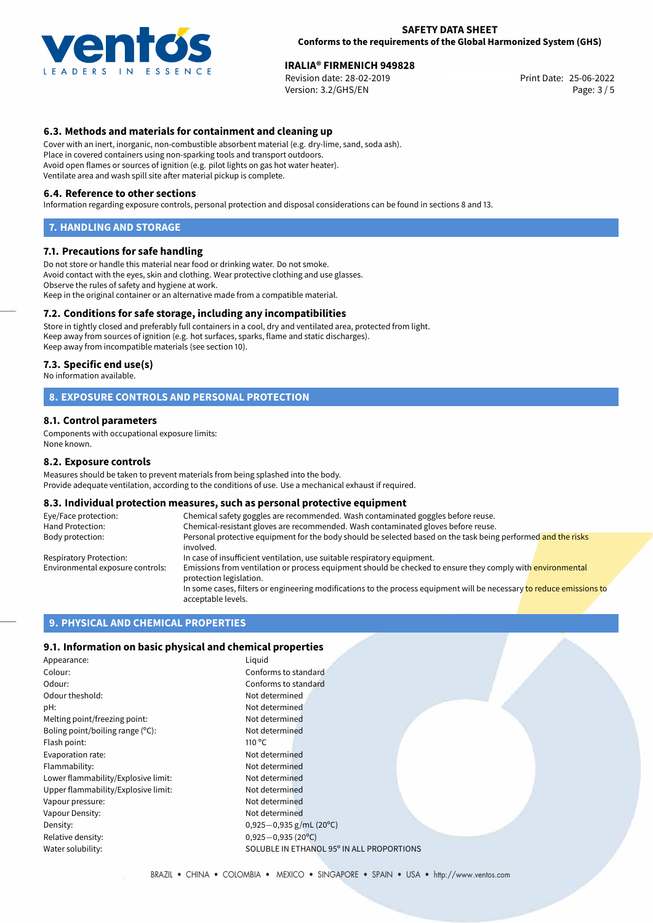

## **IRALIA® FIRMENICH 949828**<br> **25-06-2022 Revision date: 28-02-2019**<br> **25-06-2022**

Revision date: 28-02-2019 Version: 3.2/GHS/EN Page: 3 / 5

### **6.3. Methods and materials for containment and cleaning up**

Cover with an inert, inorganic, non-combustible absorbent material (e.g. dry-lime, sand, soda ash). Place in covered containers using non-sparking tools and transport outdoors. Avoid open flames or sources of ignition (e.g. pilot lights on gas hot water heater). Ventilate area and wash spill site after material pickup is complete.

#### **6.4. Reference to other sections**

Information regarding exposure controls, personal protection and disposal considerations can be found in sections 8 and 13.

#### **7. HANDLING AND STORAGE**

#### **7.1. Precautions for safe handling**

Do not store or handle this material near food or drinking water. Do not smoke. Avoid contact with the eyes, skin and clothing. Wear protective clothing and use glasses. Observe the rules of safety and hygiene at work. Keep in the original container or an alternative made from a compatible material.

#### **7.2. Conditions for safe storage, including any incompatibilities**

Store in tightly closed and preferably full containers in a cool, dry and ventilated area, protected from light. Keep away from sources of ignition (e.g. hot surfaces, sparks, flame and static discharges). Keep away from incompatible materials (see section 10).

#### **7.3. Specific end use(s)**

No information available.

#### **8. EXPOSURE CONTROLS AND PERSONAL PROTECTION**

#### **8.1. Control parameters**

Components with occupational exposure limits: None known.

#### **8.2. Exposure controls**

Measures should be taken to prevent materials from being splashed into the body. Provide adequate ventilation, according to the conditions of use. Use a mechanical exhaust if required.

#### **8.3. Individual protection measures, such as personal protective equipment**

| Eye/Face protection:             | Chemical safety goggles are recommended. Wash contaminated goggles before reuse.                                                            |  |  |  |
|----------------------------------|---------------------------------------------------------------------------------------------------------------------------------------------|--|--|--|
| Hand Protection:                 | Chemical-resistant gloves are recommended. Wash contaminated gloves before reuse.                                                           |  |  |  |
| Body protection:                 | Personal protective equipment for the body should be selected based on the task being performed and the risks<br>involved.                  |  |  |  |
| Respiratory Protection:          | In case of insufficient ventilation, use suitable respiratory equipment.                                                                    |  |  |  |
| Environmental exposure controls: | Emissions from ventilation or process equipment should be checked to ensure they comply with environmental<br>protection legislation.       |  |  |  |
|                                  | In some cases, filters or engineering modifications to the process equipment will be necessary to reduce emissions to<br>acceptable levels. |  |  |  |

## **9. PHYSICAL AND CHEMICAL PROPERTIES**

#### **9.1. Information on basic physical and chemical properties**

| Appearance:                         | Liquid                                    |  |
|-------------------------------------|-------------------------------------------|--|
| Colour:                             | Conforms to standard                      |  |
| Odour:                              | Conforms to standard                      |  |
| Odour theshold:                     | Not determined                            |  |
| pH:                                 | Not determined                            |  |
| Melting point/freezing point:       | Not determined                            |  |
| Boling point/boiling range $(°C)$ : | Not determined                            |  |
| Flash point:                        | 110 $\degree$ C                           |  |
| Evaporation rate:                   | Not determined                            |  |
| Flammability:                       | Not determined                            |  |
| Lower flammability/Explosive limit: | Not determined                            |  |
| Upper flammability/Explosive limit: | Not determined                            |  |
| Vapour pressure:                    | Not determined                            |  |
| Vapour Density:                     | Not determined                            |  |
| Density:                            | 0,925 $-0$ ,935 g/mL (20°C)               |  |
| Relative density:                   | $0,925-0,935(20°C)$                       |  |
| Water solubility:                   | SOLUBLE IN ETHANOL 95° IN ALL PROPORTIONS |  |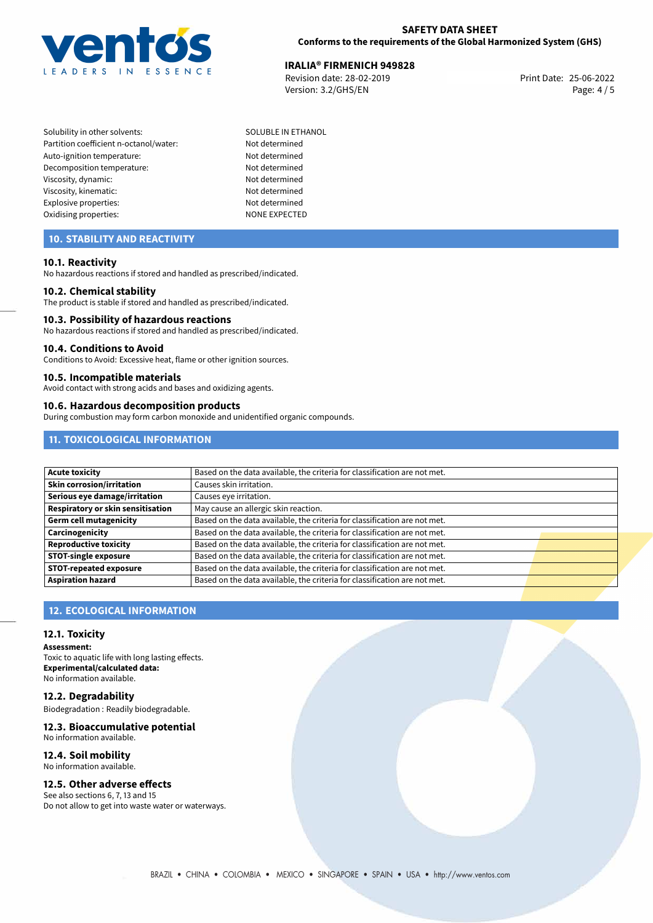

## **IRALIA® FIRMENICH 949828**<br>25-06-2022 **IRevision date: 28-02-2019**

Revision date: 28-02-2019 Version: 3.2/GHS/EN Page: 4 / 5

Solubility in other solvents: SOLUBLE IN ETHANOL Partition coefficient n-octanol/water: Not determined Auto-ignition temperature: Not determined Decomposition temperature: Not determined Viscosity, dynamic: Not determined Viscosity, kinematic: Not determined Explosive properties: Not determined Oxidising properties: NONE EXPECTED

## **10. STABILITY AND REACTIVITY**

#### **10.1. Reactivity**

No hazardous reactions if stored and handled as prescribed/indicated.

#### **10.2. Chemical stability**

The product is stable if stored and handled as prescribed/indicated.

#### **10.3. Possibility of hazardous reactions**

No hazardous reactions if stored and handled as prescribed/indicated.

#### **10.4. Conditions to Avoid**

Conditions to Avoid: Excessive heat, flame or other ignition sources.

#### **10.5. Incompatible materials**

Avoid contact with strong acids and bases and oxidizing agents.

#### **10.6. Hazardous decomposition products**

During combustion may form carbon monoxide and unidentified organic compounds.

## **11. TOXICOLOGICAL INFORMATION**

| <b>Acute toxicity</b>             | Based on the data available, the criteria for classification are not met. |  |
|-----------------------------------|---------------------------------------------------------------------------|--|
| Skin corrosion/irritation         | Causes skin irritation.                                                   |  |
| Serious eye damage/irritation     | Causes eye irritation.                                                    |  |
| Respiratory or skin sensitisation | May cause an allergic skin reaction.                                      |  |
| Germ cell mutagenicity            | Based on the data available, the criteria for classification are not met. |  |
| Carcinogenicity                   | Based on the data available, the criteria for classification are not met. |  |
| <b>Reproductive toxicity</b>      | Based on the data available, the criteria for classification are not met. |  |
| <b>STOT-single exposure</b>       | Based on the data available, the criteria for classification are not met. |  |
| <b>STOT-repeated exposure</b>     | Based on the data available, the criteria for classification are not met. |  |
| <b>Aspiration hazard</b>          | Based on the data available, the criteria for classification are not met. |  |

## **12. ECOLOGICAL INFORMATION**

#### **12.1. Toxicity**

**Assessment:** Toxic to aquatic life with long lasting effects. **Experimental/calculated data:** No information available.

**12.2. Degradability**

Biodegradation : Readily biodegradable.

#### **12.3. Bioaccumulative potential** No information available.

## **12.4. Soil mobility**

No information available.

## **12.5. Other adverse effects**

See also sections 6, 7, 13 and 15 Do not allow to get into waste water or waterways.